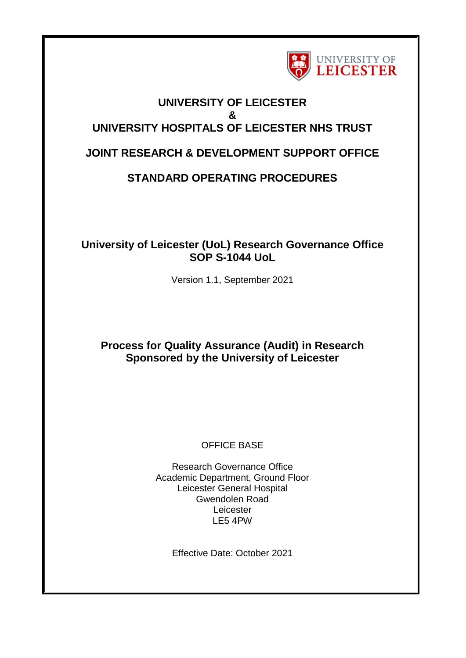

# **UNIVERSITY OF LEICESTER & UNIVERSITY HOSPITALS OF LEICESTER NHS TRUST**

# **JOINT RESEARCH & DEVELOPMENT SUPPORT OFFICE**

# **STANDARD OPERATING PROCEDURES**

## **University of Leicester (UoL) Research Governance Office SOP S-1044 UoL**

Version 1.1, September 2021

# **Process for Quality Assurance (Audit) in Research Sponsored by the University of Leicester**

## OFFICE BASE

Research Governance Office Academic Department, Ground Floor Leicester General Hospital Gwendolen Road Leicester LE5 4PW

Effective Date: October 2021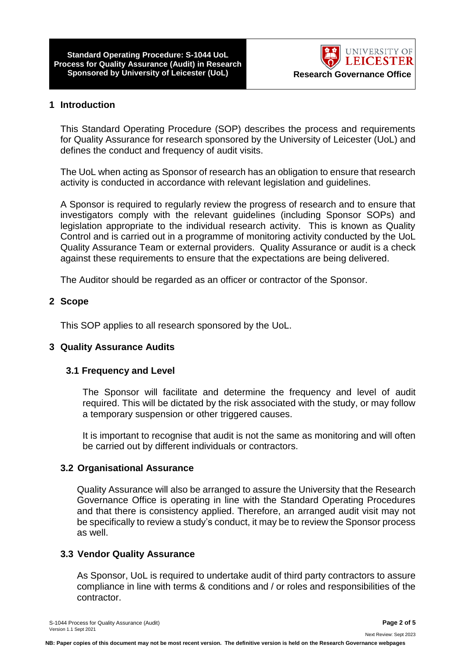**Standard Operating Procedure: S-1044 UoL Process for Quality Assurance (Audit) in Research Sponsored by University of Leicester (UoL) Research Governance Office**



#### **1 Introduction**

This Standard Operating Procedure (SOP) describes the process and requirements for Quality Assurance for research sponsored by the University of Leicester (UoL) and defines the conduct and frequency of audit visits.

The UoL when acting as Sponsor of research has an obligation to ensure that research activity is conducted in accordance with relevant legislation and guidelines.

A Sponsor is required to regularly review the progress of research and to ensure that investigators comply with the relevant guidelines (including Sponsor SOPs) and legislation appropriate to the individual research activity. This is known as Quality Control and is carried out in a programme of monitoring activity conducted by the UoL Quality Assurance Team or external providers. Quality Assurance or audit is a check against these requirements to ensure that the expectations are being delivered.

The Auditor should be regarded as an officer or contractor of the Sponsor.

#### **2 Scope**

This SOP applies to all research sponsored by the UoL.

#### **3 Quality Assurance Audits**

#### **3.1 Frequency and Level**

The Sponsor will facilitate and determine the frequency and level of audit required. This will be dictated by the risk associated with the study, or may follow a temporary suspension or other triggered causes.

It is important to recognise that audit is not the same as monitoring and will often be carried out by different individuals or contractors.

#### **3.2 Organisational Assurance**

Quality Assurance will also be arranged to assure the University that the Research Governance Office is operating in line with the Standard Operating Procedures and that there is consistency applied. Therefore, an arranged audit visit may not be specifically to review a study's conduct, it may be to review the Sponsor process as well.

#### **3.3 Vendor Quality Assurance**

As Sponsor, UoL is required to undertake audit of third party contractors to assure compliance in line with terms & conditions and / or roles and responsibilities of the contractor.

Next Review: Sept 2023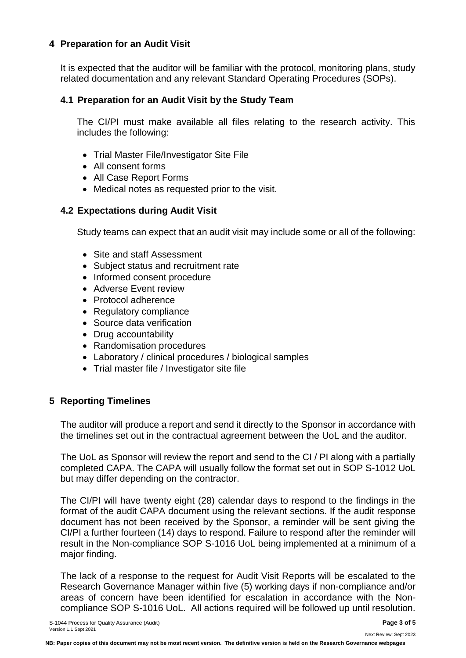## **4 Preparation for an Audit Visit**

It is expected that the auditor will be familiar with the protocol, monitoring plans, study related documentation and any relevant Standard Operating Procedures (SOPs).

### **4.1 Preparation for an Audit Visit by the Study Team**

The CI/PI must make available all files relating to the research activity. This includes the following:

- Trial Master File/Investigator Site File
- All consent forms
- All Case Report Forms
- Medical notes as requested prior to the visit.

### **4.2 Expectations during Audit Visit**

Study teams can expect that an audit visit may include some or all of the following:

- Site and staff Assessment
- Subject status and recruitment rate
- Informed consent procedure
- Adverse Event review
- Protocol adherence
- Regulatory compliance
- Source data verification
- Drug accountability
- Randomisation procedures
- Laboratory / clinical procedures / biological samples
- Trial master file / Investigator site file

## **5 Reporting Timelines**

The auditor will produce a report and send it directly to the Sponsor in accordance with the timelines set out in the contractual agreement between the UoL and the auditor.

The UoL as Sponsor will review the report and send to the CI / PI along with a partially completed CAPA. The CAPA will usually follow the format set out in SOP S-1012 UoL but may differ depending on the contractor.

The CI/PI will have twenty eight (28) calendar days to respond to the findings in the format of the audit CAPA document using the relevant sections. If the audit response document has not been received by the Sponsor, a reminder will be sent giving the CI/PI a further fourteen (14) days to respond. Failure to respond after the reminder will result in the Non-compliance SOP S-1016 UoL being implemented at a minimum of a major finding.

The lack of a response to the request for Audit Visit Reports will be escalated to the Research Governance Manager within five (5) working days if non-compliance and/or areas of concern have been identified for escalation in accordance with the Noncompliance SOP S-1016 UoL. All actions required will be followed up until resolution.

Next Review: Sept 2023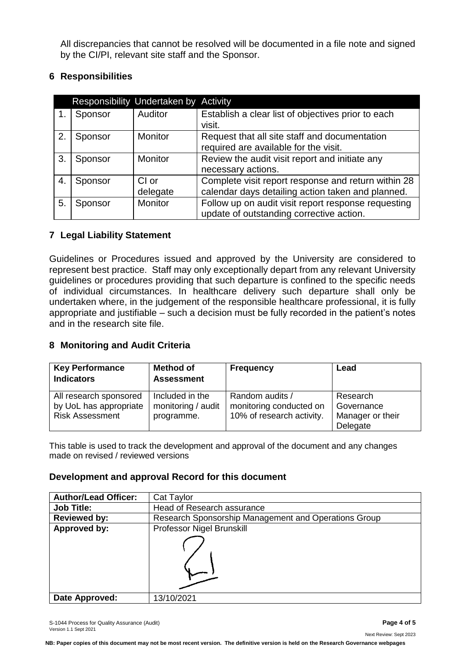All discrepancies that cannot be resolved will be documented in a file note and signed by the CI/PI, relevant site staff and the Sponsor.

## **6 Responsibilities**

|    | Responsibility Undertaken by Activity |                |                                                              |  |  |  |
|----|---------------------------------------|----------------|--------------------------------------------------------------|--|--|--|
|    | Sponsor                               | Auditor        | Establish a clear list of objectives prior to each<br>visit. |  |  |  |
|    |                                       |                |                                                              |  |  |  |
| 2. | Sponsor                               | <b>Monitor</b> | Request that all site staff and documentation                |  |  |  |
|    |                                       |                | required are available for the visit.                        |  |  |  |
| 3. | Sponsor                               | <b>Monitor</b> | Review the audit visit report and initiate any               |  |  |  |
|    |                                       |                | necessary actions.                                           |  |  |  |
| 4. | Sponsor                               | CI or          | Complete visit report response and return within 28          |  |  |  |
|    |                                       | delegate       | calendar days detailing action taken and planned.            |  |  |  |
| 5. | Sponsor                               | <b>Monitor</b> | Follow up on audit visit report response requesting          |  |  |  |
|    |                                       |                | update of outstanding corrective action.                     |  |  |  |

### **7 Legal Liability Statement**

Guidelines or Procedures issued and approved by the University are considered to represent best practice. Staff may only exceptionally depart from any relevant University guidelines or procedures providing that such departure is confined to the specific needs of individual circumstances. In healthcare delivery such departure shall only be undertaken where, in the judgement of the responsible healthcare professional, it is fully appropriate and justifiable – such a decision must be fully recorded in the patient's notes and in the research site file.

## **8 Monitoring and Audit Criteria**

| <b>Key Performance</b><br><b>Indicators</b>                                | <b>Method of</b><br><b>Assessment</b>               | <b>Frequency</b>                                                        | Lead                                                   |
|----------------------------------------------------------------------------|-----------------------------------------------------|-------------------------------------------------------------------------|--------------------------------------------------------|
| All research sponsored<br>by UoL has appropriate<br><b>Risk Assessment</b> | Included in the<br>monitoring / audit<br>programme. | Random audits /<br>monitoring conducted on<br>10% of research activity. | Research<br>Governance<br>Manager or their<br>Delegate |

This table is used to track the development and approval of the document and any changes made on revised / reviewed versions

#### **Development and approval Record for this document**

| <b>Author/Lead Officer:</b> | Cat Taylor                                           |  |  |
|-----------------------------|------------------------------------------------------|--|--|
| <b>Job Title:</b>           | Head of Research assurance                           |  |  |
| <b>Reviewed by:</b>         | Research Sponsorship Management and Operations Group |  |  |
| Approved by:                | Professor Nigel Brunskill                            |  |  |
|                             |                                                      |  |  |
| Date Approved:              | 13/10/2021                                           |  |  |

**NB: Paper copies of this document may not be most recent version. The definitive version is held on the Research Governance webpages**